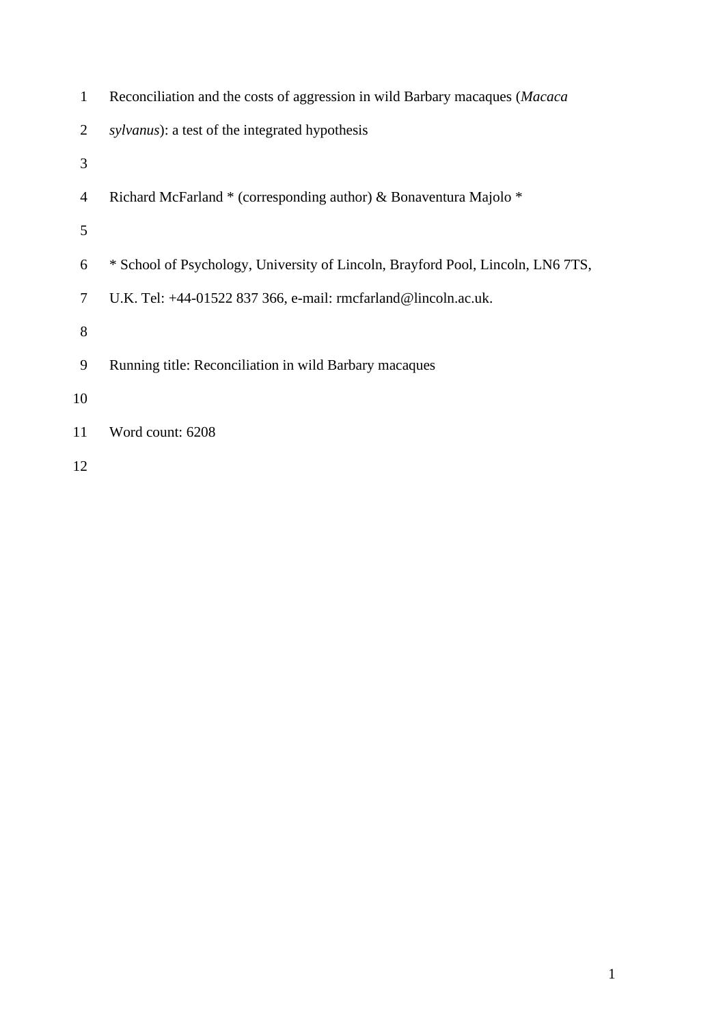| 1  | Reconciliation and the costs of aggression in wild Barbary macaques ( <i>Macaca</i> ) |
|----|---------------------------------------------------------------------------------------|
| 2  | <i>sylvanus</i> ): a test of the integrated hypothesis                                |
| 3  |                                                                                       |
| 4  | Richard McFarland * (corresponding author) & Bonaventura Majolo *                     |
| 5  |                                                                                       |
| 6  | * School of Psychology, University of Lincoln, Brayford Pool, Lincoln, LN6 7TS,       |
| 7  | U.K. Tel: +44-01522 837 366, e-mail: rmcfarland@lincoln.ac.uk.                        |
| 8  |                                                                                       |
| 9  | Running title: Reconciliation in wild Barbary macaques                                |
| 10 |                                                                                       |
| 11 | Word count: 6208                                                                      |
|    |                                                                                       |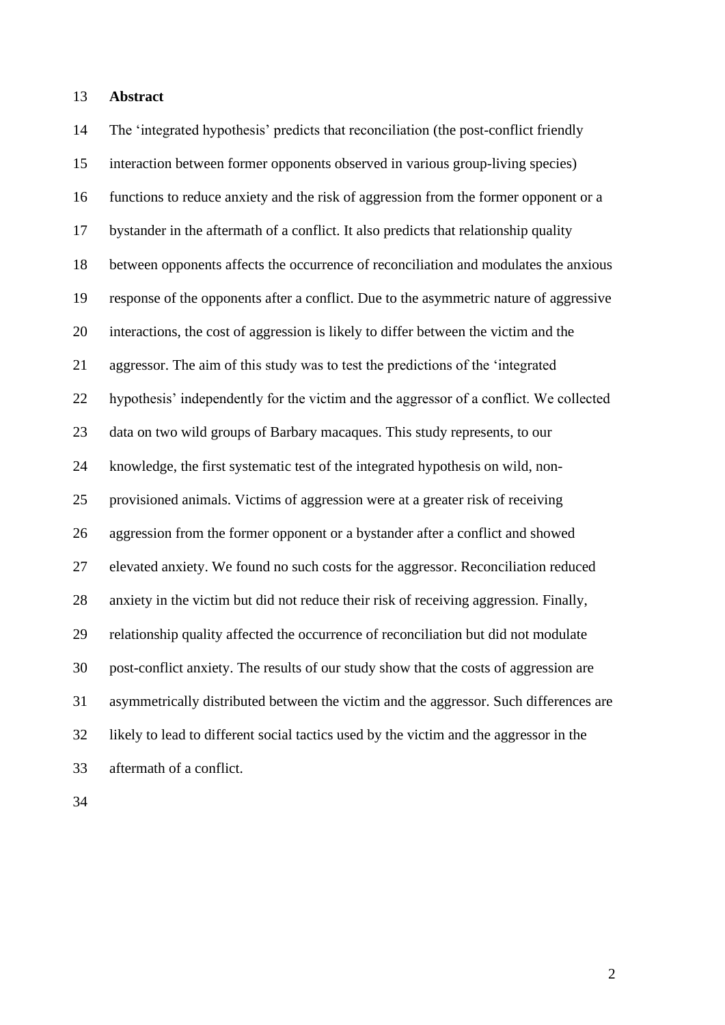## **Abstract**

 The 'integrated hypothesis' predicts that reconciliation (the post-conflict friendly interaction between former opponents observed in various group-living species) functions to reduce anxiety and the risk of aggression from the former opponent or a bystander in the aftermath of a conflict. It also predicts that relationship quality between opponents affects the occurrence of reconciliation and modulates the anxious response of the opponents after a conflict. Due to the asymmetric nature of aggressive interactions, the cost of aggression is likely to differ between the victim and the aggressor. The aim of this study was to test the predictions of the 'integrated hypothesis' independently for the victim and the aggressor of a conflict. We collected data on two wild groups of Barbary macaques. This study represents, to our knowledge, the first systematic test of the integrated hypothesis on wild, non- provisioned animals. Victims of aggression were at a greater risk of receiving aggression from the former opponent or a bystander after a conflict and showed elevated anxiety. We found no such costs for the aggressor. Reconciliation reduced anxiety in the victim but did not reduce their risk of receiving aggression. Finally, relationship quality affected the occurrence of reconciliation but did not modulate post-conflict anxiety. The results of our study show that the costs of aggression are asymmetrically distributed between the victim and the aggressor. Such differences are likely to lead to different social tactics used by the victim and the aggressor in the aftermath of a conflict.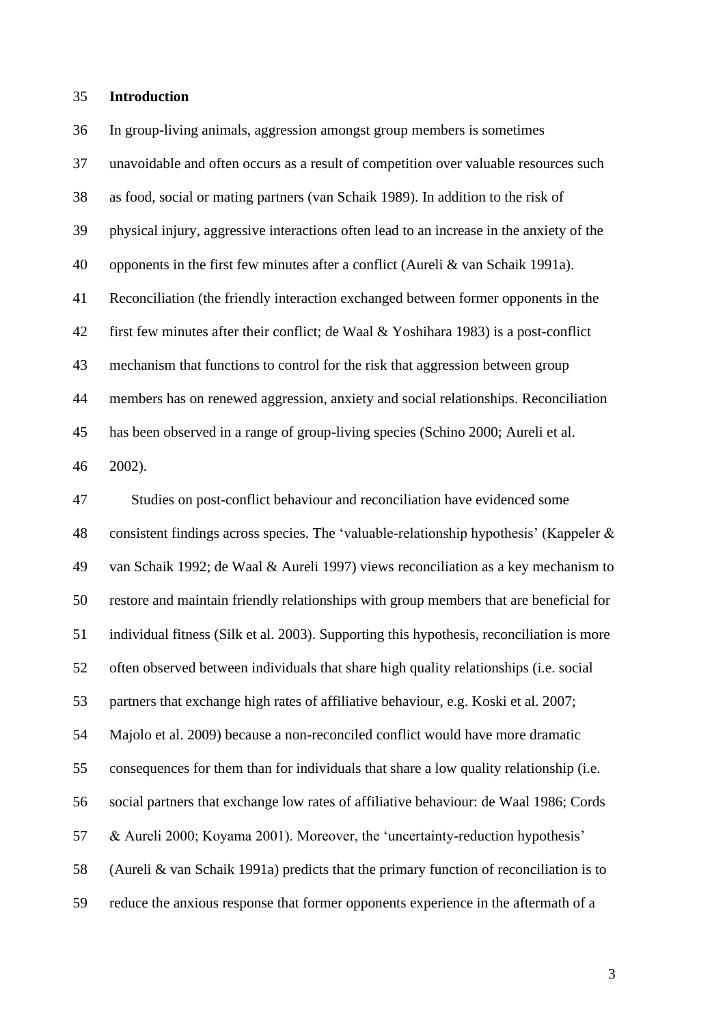### **Introduction**

 In group-living animals, aggression amongst group members is sometimes unavoidable and often occurs as a result of competition over valuable resources such as food, social or mating partners (van Schaik 1989). In addition to the risk of physical injury, aggressive interactions often lead to an increase in the anxiety of the opponents in the first few minutes after a conflict (Aureli & van Schaik 1991a). Reconciliation (the friendly interaction exchanged between former opponents in the first few minutes after their conflict; de Waal & Yoshihara 1983) is a post-conflict mechanism that functions to control for the risk that aggression between group members has on renewed aggression, anxiety and social relationships. Reconciliation has been observed in a range of group-living species (Schino 2000; Aureli et al. 2002).

 Studies on post-conflict behaviour and reconciliation have evidenced some consistent findings across species. The 'valuable-relationship hypothesis' (Kappeler & van Schaik 1992; de Waal & Aureli 1997) views reconciliation as a key mechanism to restore and maintain friendly relationships with group members that are beneficial for individual fitness (Silk et al. 2003). Supporting this hypothesis, reconciliation is more often observed between individuals that share high quality relationships (i.e. social partners that exchange high rates of affiliative behaviour, e.g. Koski et al. 2007; Majolo et al. 2009) because a non-reconciled conflict would have more dramatic consequences for them than for individuals that share a low quality relationship (i.e. social partners that exchange low rates of affiliative behaviour: de Waal 1986; Cords & Aureli 2000; Koyama 2001). Moreover, the 'uncertainty-reduction hypothesis' (Aureli & van Schaik 1991a) predicts that the primary function of reconciliation is to reduce the anxious response that former opponents experience in the aftermath of a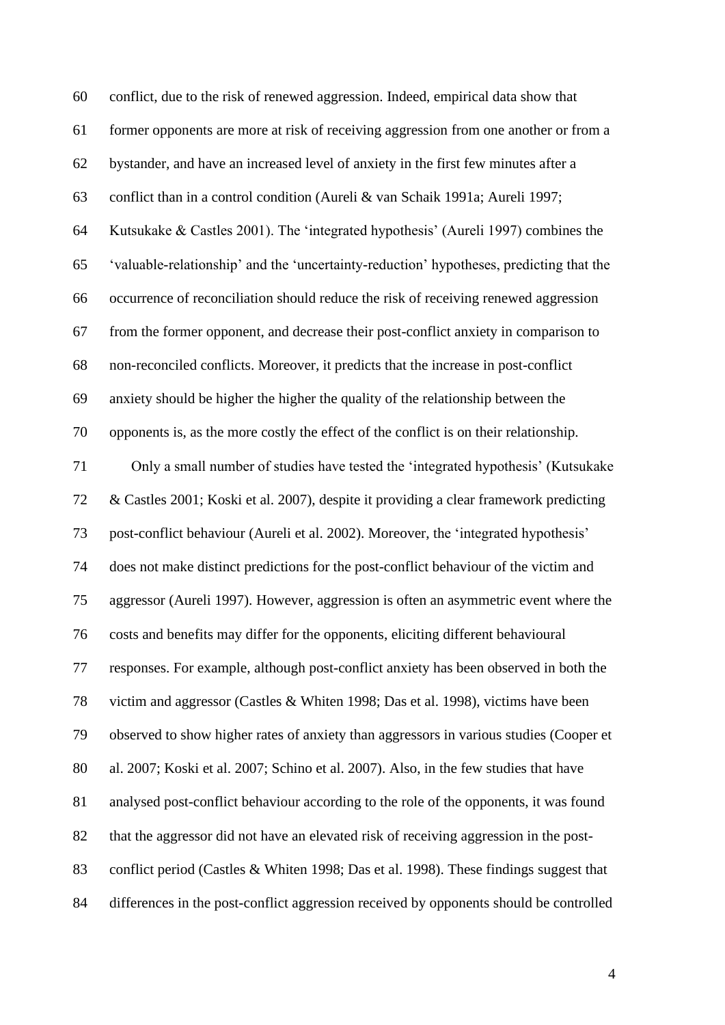| 60 | conflict, due to the risk of renewed aggression. Indeed, empirical data show that       |
|----|-----------------------------------------------------------------------------------------|
| 61 | former opponents are more at risk of receiving aggression from one another or from a    |
| 62 | bystander, and have an increased level of anxiety in the first few minutes after a      |
| 63 | conflict than in a control condition (Aureli & van Schaik 1991a; Aureli 1997;           |
| 64 | Kutsukake & Castles 2001). The 'integrated hypothesis' (Aureli 1997) combines the       |
| 65 | 'valuable-relationship' and the 'uncertainty-reduction' hypotheses, predicting that the |
| 66 | occurrence of reconciliation should reduce the risk of receiving renewed aggression     |
| 67 | from the former opponent, and decrease their post-conflict anxiety in comparison to     |
| 68 | non-reconciled conflicts. Moreover, it predicts that the increase in post-conflict      |
| 69 | anxiety should be higher the higher the quality of the relationship between the         |
| 70 | opponents is, as the more costly the effect of the conflict is on their relationship.   |
| 71 | Only a small number of studies have tested the 'integrated hypothesis' (Kutsukake       |
| 72 | & Castles 2001; Koski et al. 2007), despite it providing a clear framework predicting   |
| 73 | post-conflict behaviour (Aureli et al. 2002). Moreover, the 'integrated hypothesis'     |
| 74 | does not make distinct predictions for the post-conflict behaviour of the victim and    |
| 75 | aggressor (Aureli 1997). However, aggression is often an asymmetric event where the     |
| 76 | costs and benefits may differ for the opponents, eliciting different behavioural        |
| 77 | responses. For example, although post-conflict anxiety has been observed in both the    |
| 78 | victim and aggressor (Castles & Whiten 1998; Das et al. 1998), victims have been        |
| 79 | observed to show higher rates of anxiety than aggressors in various studies (Cooper et  |
| 80 | al. 2007; Koski et al. 2007; Schino et al. 2007). Also, in the few studies that have    |
| 81 | analysed post-conflict behaviour according to the role of the opponents, it was found   |
| 82 | that the aggressor did not have an elevated risk of receiving aggression in the post-   |
| 83 | conflict period (Castles & Whiten 1998; Das et al. 1998). These findings suggest that   |
| 84 | differences in the post-conflict aggression received by opponents should be controlled  |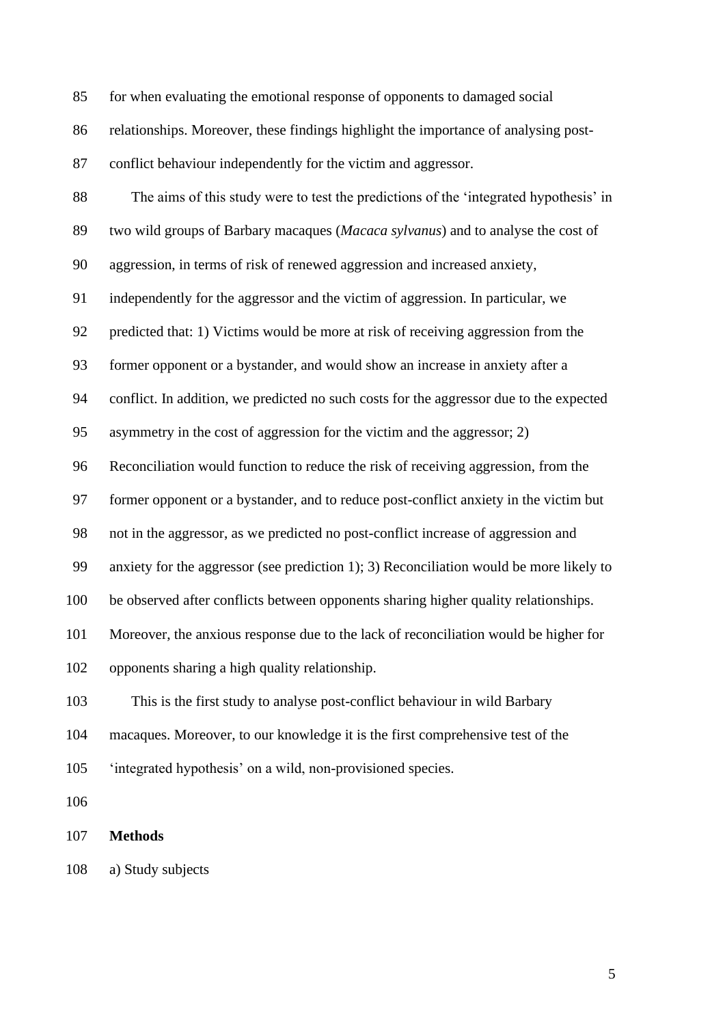for when evaluating the emotional response of opponents to damaged social

relationships. Moreover, these findings highlight the importance of analysing post-

conflict behaviour independently for the victim and aggressor.

 The aims of this study were to test the predictions of the 'integrated hypothesis' in two wild groups of Barbary macaques (*Macaca sylvanus*) and to analyse the cost of aggression, in terms of risk of renewed aggression and increased anxiety, independently for the aggressor and the victim of aggression. In particular, we predicted that: 1) Victims would be more at risk of receiving aggression from the former opponent or a bystander, and would show an increase in anxiety after a conflict. In addition, we predicted no such costs for the aggressor due to the expected asymmetry in the cost of aggression for the victim and the aggressor; 2) Reconciliation would function to reduce the risk of receiving aggression, from the former opponent or a bystander, and to reduce post-conflict anxiety in the victim but not in the aggressor, as we predicted no post-conflict increase of aggression and anxiety for the aggressor (see prediction 1); 3) Reconciliation would be more likely to be observed after conflicts between opponents sharing higher quality relationships. Moreover, the anxious response due to the lack of reconciliation would be higher for opponents sharing a high quality relationship. This is the first study to analyse post-conflict behaviour in wild Barbary macaques. Moreover, to our knowledge it is the first comprehensive test of the 'integrated hypothesis' on a wild, non-provisioned species. 

**Methods**

a) Study subjects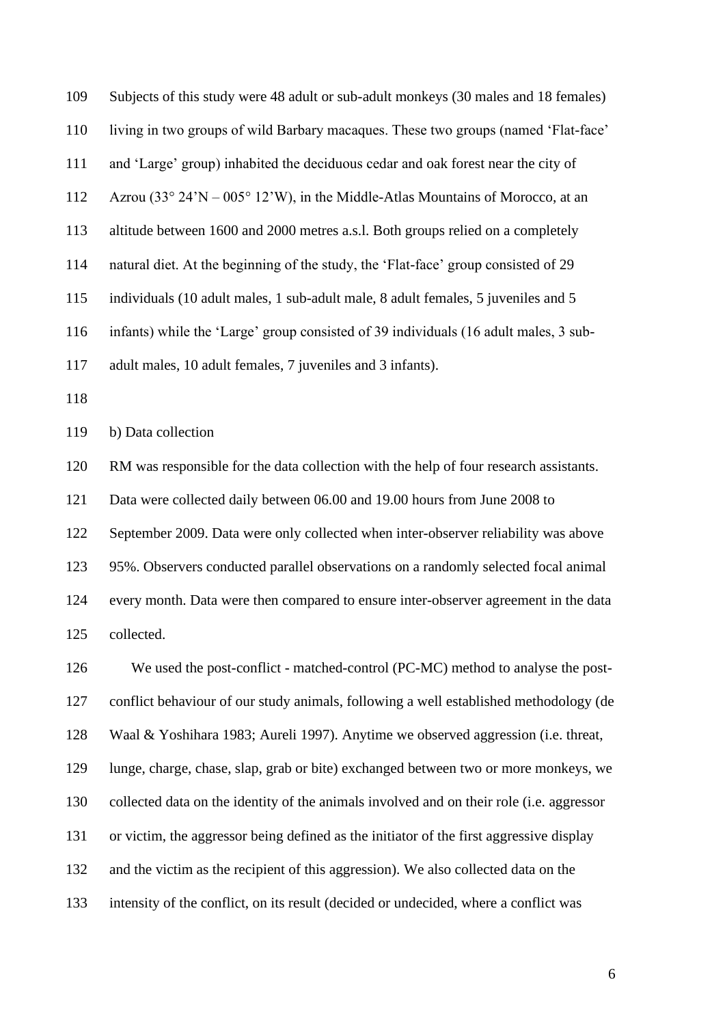Subjects of this study were 48 adult or sub-adult monkeys (30 males and 18 females) living in two groups of wild Barbary macaques. These two groups (named 'Flat-face' and 'Large' group) inhabited the deciduous cedar and oak forest near the city of Azrou (33° 24'N – 005° 12'W), in the Middle-Atlas Mountains of Morocco, at an altitude between 1600 and 2000 metres a.s.l. Both groups relied on a completely natural diet. At the beginning of the study, the 'Flat-face' group consisted of 29 individuals (10 adult males, 1 sub-adult male, 8 adult females, 5 juveniles and 5 infants) while the 'Large' group consisted of 39 individuals (16 adult males, 3 sub- adult males, 10 adult females, 7 juveniles and 3 infants). 

b) Data collection

RM was responsible for the data collection with the help of four research assistants.

Data were collected daily between 06.00 and 19.00 hours from June 2008 to

September 2009. Data were only collected when inter-observer reliability was above

95%. Observers conducted parallel observations on a randomly selected focal animal

 every month. Data were then compared to ensure inter-observer agreement in the data collected.

 We used the post-conflict - matched-control (PC-MC) method to analyse the post- conflict behaviour of our study animals, following a well established methodology (de Waal & Yoshihara 1983; Aureli 1997). Anytime we observed aggression (i.e. threat, lunge, charge, chase, slap, grab or bite) exchanged between two or more monkeys, we collected data on the identity of the animals involved and on their role (i.e. aggressor or victim, the aggressor being defined as the initiator of the first aggressive display and the victim as the recipient of this aggression). We also collected data on the intensity of the conflict, on its result (decided or undecided, where a conflict was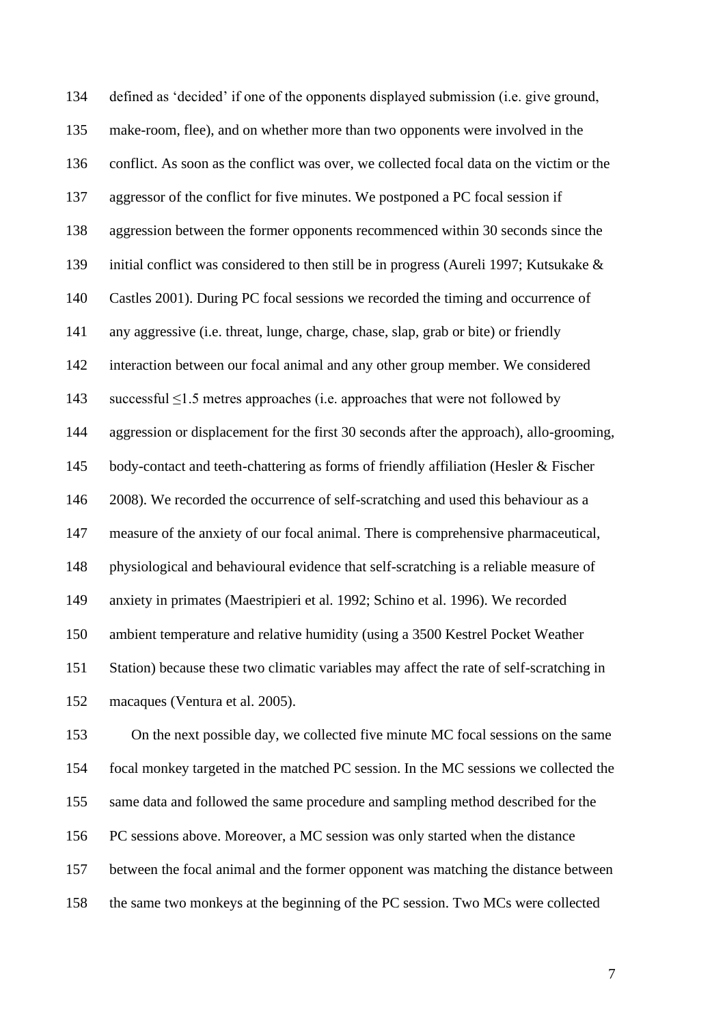defined as 'decided' if one of the opponents displayed submission (i.e. give ground, make-room, flee), and on whether more than two opponents were involved in the conflict. As soon as the conflict was over, we collected focal data on the victim or the aggressor of the conflict for five minutes. We postponed a PC focal session if aggression between the former opponents recommenced within 30 seconds since the initial conflict was considered to then still be in progress (Aureli 1997; Kutsukake & Castles 2001). During PC focal sessions we recorded the timing and occurrence of any aggressive (i.e. threat, lunge, charge, chase, slap, grab or bite) or friendly interaction between our focal animal and any other group member. We considered successful ≤1.5 metres approaches (i.e. approaches that were not followed by aggression or displacement for the first 30 seconds after the approach), allo-grooming, body-contact and teeth-chattering as forms of friendly affiliation (Hesler & Fischer 2008). We recorded the occurrence of self-scratching and used this behaviour as a measure of the anxiety of our focal animal. There is comprehensive pharmaceutical, physiological and behavioural evidence that self-scratching is a reliable measure of anxiety in primates (Maestripieri et al. 1992; Schino et al. 1996). We recorded ambient temperature and relative humidity (using a 3500 Kestrel Pocket Weather Station) because these two climatic variables may affect the rate of self-scratching in macaques (Ventura et al. 2005).

 On the next possible day, we collected five minute MC focal sessions on the same focal monkey targeted in the matched PC session. In the MC sessions we collected the same data and followed the same procedure and sampling method described for the PC sessions above. Moreover, a MC session was only started when the distance between the focal animal and the former opponent was matching the distance between the same two monkeys at the beginning of the PC session. Two MCs were collected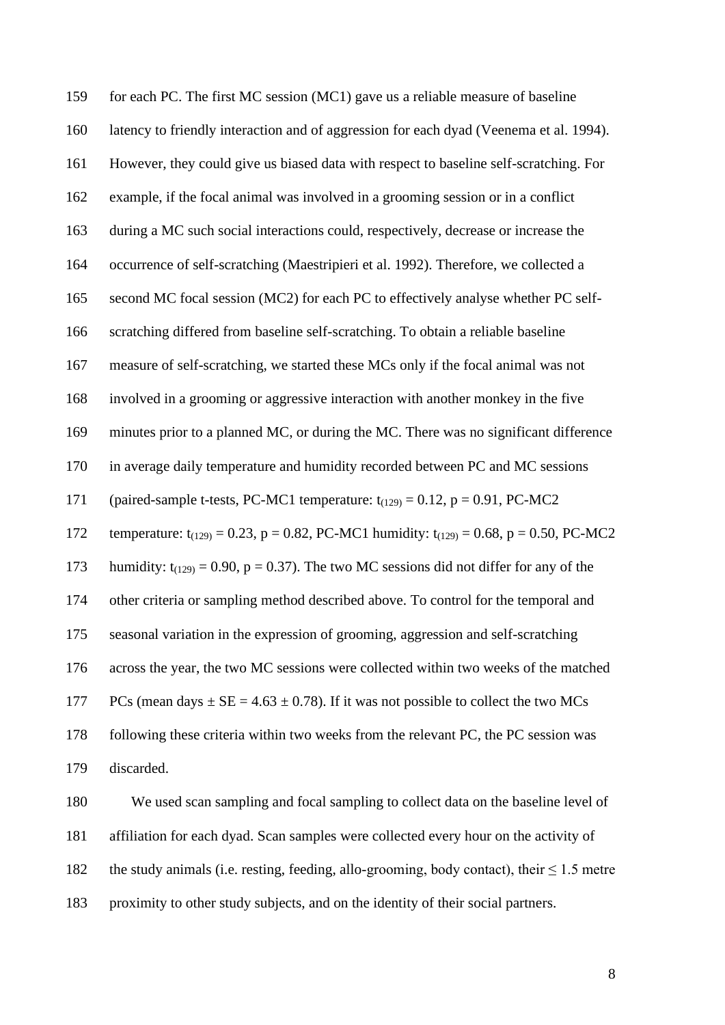| 159 | for each PC. The first MC session (MC1) gave us a reliable measure of baseline                     |
|-----|----------------------------------------------------------------------------------------------------|
| 160 | latency to friendly interaction and of aggression for each dyad (Veenema et al. 1994).             |
| 161 | However, they could give us biased data with respect to baseline self-scratching. For              |
| 162 | example, if the focal animal was involved in a grooming session or in a conflict                   |
| 163 | during a MC such social interactions could, respectively, decrease or increase the                 |
| 164 | occurrence of self-scratching (Maestripieri et al. 1992). Therefore, we collected a                |
| 165 | second MC focal session (MC2) for each PC to effectively analyse whether PC self-                  |
| 166 | scratching differed from baseline self-scratching. To obtain a reliable baseline                   |
| 167 | measure of self-scratching, we started these MCs only if the focal animal was not                  |
| 168 | involved in a grooming or aggressive interaction with another monkey in the five                   |
| 169 | minutes prior to a planned MC, or during the MC. There was no significant difference               |
| 170 | in average daily temperature and humidity recorded between PC and MC sessions                      |
| 171 | (paired-sample t-tests, PC-MC1 temperature: $t_{(129)} = 0.12$ , $p = 0.91$ , PC-MC2               |
| 172 | temperature: $t_{(129)} = 0.23$ , p = 0.82, PC-MC1 humidity: $t_{(129)} = 0.68$ , p = 0.50, PC-MC2 |
| 173 | humidity: $t_{(129)} = 0.90$ , $p = 0.37$ ). The two MC sessions did not differ for any of the     |
| 174 | other criteria or sampling method described above. To control for the temporal and                 |
| 175 | seasonal variation in the expression of grooming, aggression and self-scratching                   |
| 176 | across the year, the two MC sessions were collected within two weeks of the matched                |
| 177 | PCs (mean days $\pm$ SE = 4.63 $\pm$ 0.78). If it was not possible to collect the two MCs          |
| 178 | following these criteria within two weeks from the relevant PC, the PC session was                 |
| 179 | discarded.                                                                                         |
| 180 | We used scan sampling and focal sampling to collect data on the baseline level of                  |
| 181 | affiliation for each dyad. Scan samples were collected every hour on the activity of               |
|     |                                                                                                    |

182 the study animals (i.e. resting, feeding, allo-grooming, body contact), their  $\leq 1.5$  metre

proximity to other study subjects, and on the identity of their social partners.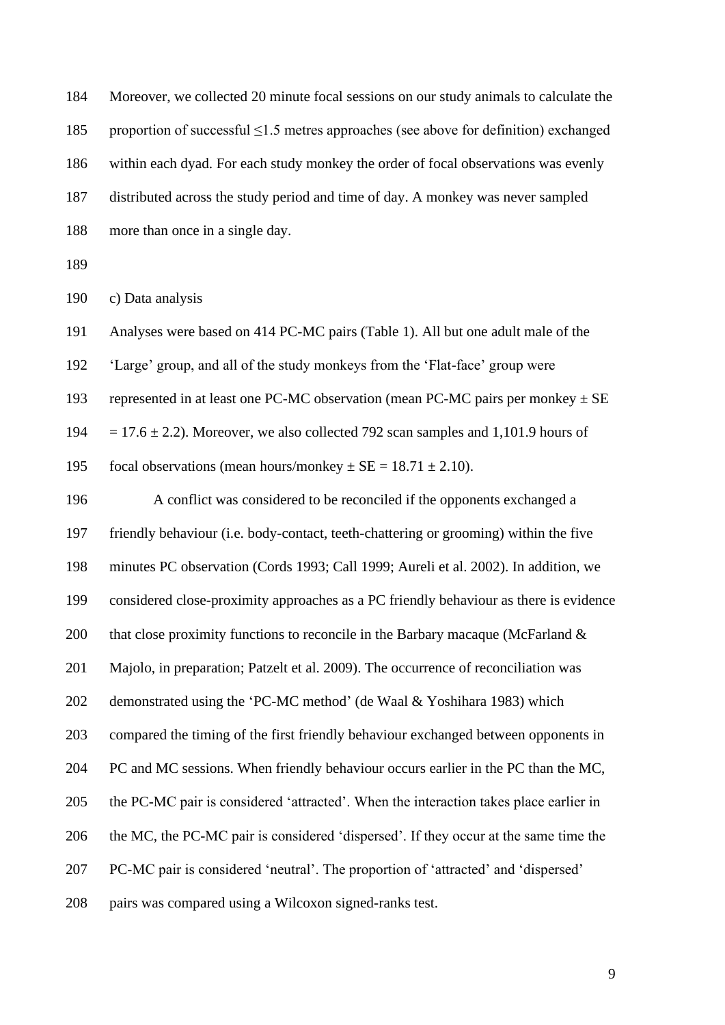| 184 | Moreover, we collected 20 minute focal sessions on our study animals to calculate the      |
|-----|--------------------------------------------------------------------------------------------|
| 185 | proportion of successful $\leq$ 1.5 metres approaches (see above for definition) exchanged |
| 186 | within each dyad. For each study monkey the order of focal observations was evenly         |
| 187 | distributed across the study period and time of day. A monkey was never sampled            |
| 188 | more than once in a single day.                                                            |
| 189 |                                                                                            |
| 190 | c) Data analysis                                                                           |
| 191 | Analyses were based on 414 PC-MC pairs (Table 1). All but one adult male of the            |
| 192 | 'Large' group, and all of the study monkeys from the 'Flat-face' group were                |
| 193 | represented in at least one PC-MC observation (mean PC-MC pairs per monkey $\pm$ SE        |
| 194 | $= 17.6 \pm 2.2$ ). Moreover, we also collected 792 scan samples and 1,101.9 hours of      |
| 195 | focal observations (mean hours/monkey $\pm$ SE = 18.71 $\pm$ 2.10).                        |
| 196 | A conflict was considered to be reconciled if the opponents exchanged a                    |
| 197 | friendly behaviour (i.e. body-contact, teeth-chattering or grooming) within the five       |
| 198 | minutes PC observation (Cords 1993; Call 1999; Aureli et al. 2002). In addition, we        |
| 199 | considered close-proximity approaches as a PC friendly behaviour as there is evidence      |
| 200 | that close proximity functions to reconcile in the Barbary macaque (McFarland $\&$         |
| 201 | Majolo, in preparation; Patzelt et al. 2009). The occurrence of reconciliation was         |
| 202 | demonstrated using the 'PC-MC method' (de Waal & Yoshihara 1983) which                     |
| 203 | compared the timing of the first friendly behaviour exchanged between opponents in         |
| 204 | PC and MC sessions. When friendly behaviour occurs earlier in the PC than the MC,          |
| 205 | the PC-MC pair is considered 'attracted'. When the interaction takes place earlier in      |
| 206 | the MC, the PC-MC pair is considered 'dispersed'. If they occur at the same time the       |
| 207 | PC-MC pair is considered 'neutral'. The proportion of 'attracted' and 'dispersed'          |
| 208 | pairs was compared using a Wilcoxon signed-ranks test.                                     |
|     |                                                                                            |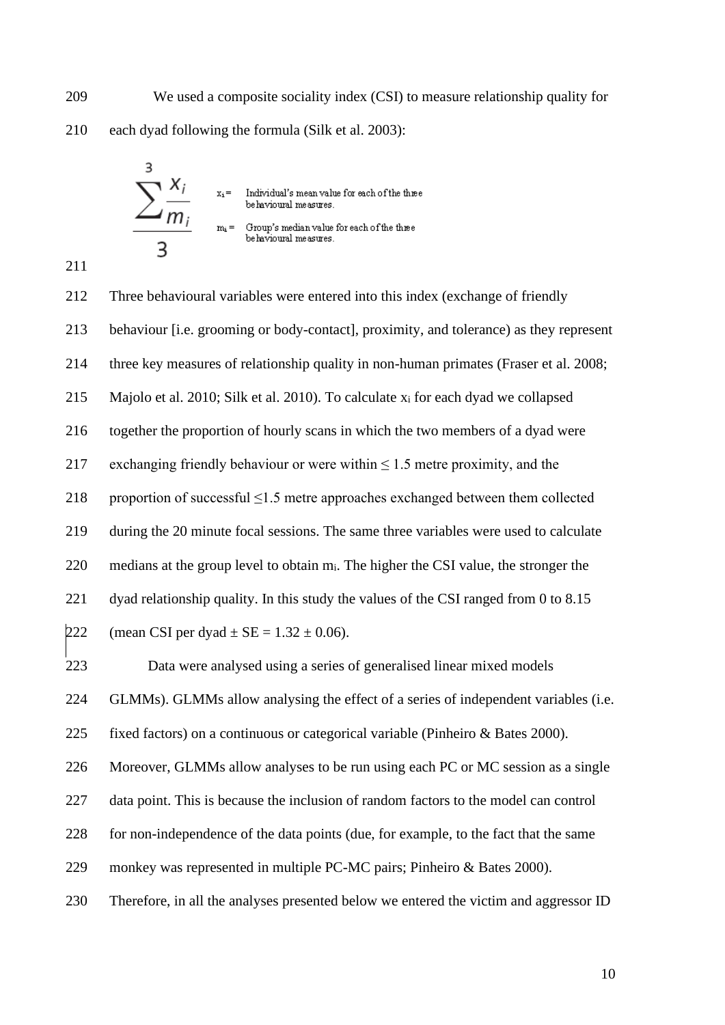We used a composite sociality index (CSI) to measure relationship quality for each dyad following the formula (Silk et al. 2003):



 Three behavioural variables were entered into this index (exchange of friendly behaviour [i.e. grooming or body-contact], proximity, and tolerance) as they represent three key measures of relationship quality in non-human primates (Fraser et al. 2008; Majolo et al. 2010; Silk et al. 2010). To calculate x<sup>i</sup> for each dyad we collapsed together the proportion of hourly scans in which the two members of a dyad were 217 exchanging friendly behaviour or were within  $\leq 1.5$  metre proximity, and the 218 proportion of successful  $\leq$ 1.5 metre approaches exchanged between them collected during the 20 minute focal sessions. The same three variables were used to calculate 220 medians at the group level to obtain m<sub>i</sub>. The higher the CSI value, the stronger the 221 dyad relationship quality. In this study the values of the CSI ranged from 0 to 8.15 222 (mean CSI per dyad  $\pm$  SE = 1.32  $\pm$  0.06). Data were analysed using a series of generalised linear mixed models GLMMs). GLMMs allow analysing the effect of a series of independent variables (i.e. fixed factors) on a continuous or categorical variable (Pinheiro & Bates 2000). Moreover, GLMMs allow analyses to be run using each PC or MC session as a single data point. This is because the inclusion of random factors to the model can control for non-independence of the data points (due, for example, to the fact that the same monkey was represented in multiple PC-MC pairs; Pinheiro & Bates 2000). Therefore, in all the analyses presented below we entered the victim and aggressor ID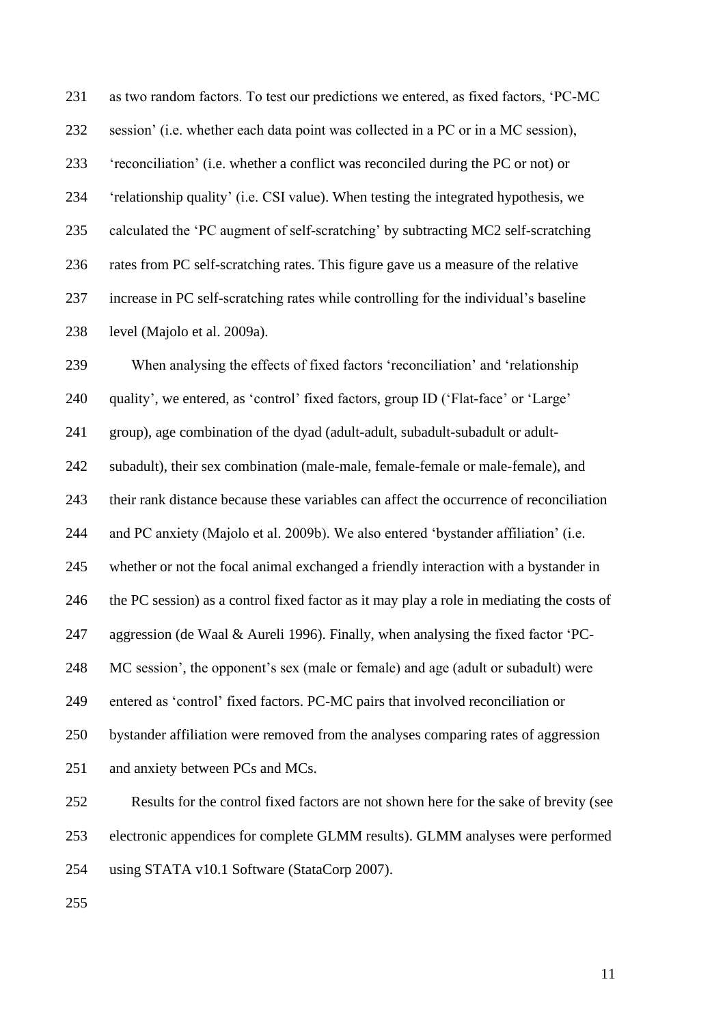as two random factors. To test our predictions we entered, as fixed factors, 'PC-MC session' (i.e. whether each data point was collected in a PC or in a MC session), 'reconciliation' (i.e. whether a conflict was reconciled during the PC or not) or 'relationship quality' (i.e. CSI value). When testing the integrated hypothesis, we calculated the 'PC augment of self-scratching' by subtracting MC2 self-scratching rates from PC self-scratching rates. This figure gave us a measure of the relative increase in PC self-scratching rates while controlling for the individual's baseline level (Majolo et al. 2009a).

When analysing the effects of fixed factors 'reconciliation' and 'relationship

quality', we entered, as 'control' fixed factors, group ID ('Flat-face' or 'Large'

group), age combination of the dyad (adult-adult, subadult-subadult or adult-

subadult), their sex combination (male-male, female-female or male-female), and

their rank distance because these variables can affect the occurrence of reconciliation

and PC anxiety (Majolo et al. 2009b). We also entered 'bystander affiliation' (i.e.

whether or not the focal animal exchanged a friendly interaction with a bystander in

the PC session) as a control fixed factor as it may play a role in mediating the costs of

aggression (de Waal & Aureli 1996). Finally, when analysing the fixed factor 'PC-

MC session', the opponent's sex (male or female) and age (adult or subadult) were

entered as 'control' fixed factors. PC-MC pairs that involved reconciliation or

bystander affiliation were removed from the analyses comparing rates of aggression

251 and anxiety between PCs and MCs.

 Results for the control fixed factors are not shown here for the sake of brevity (see electronic appendices for complete GLMM results). GLMM analyses were performed

using STATA v10.1 Software (StataCorp 2007).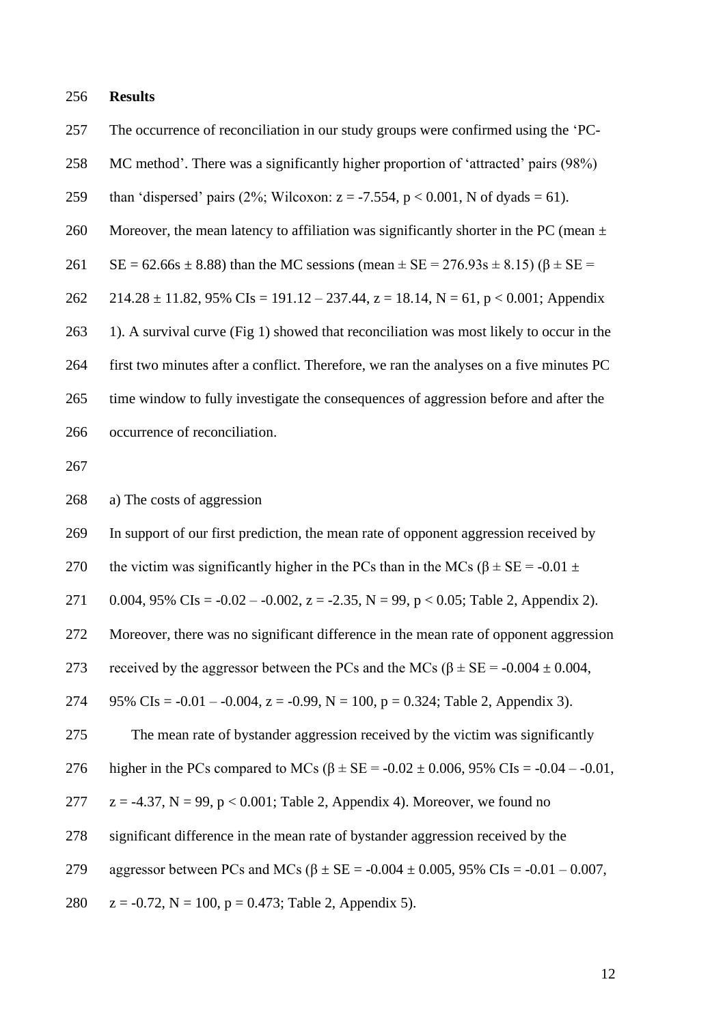#### 256 **Results**

257 The occurrence of reconciliation in our study groups were confirmed using the 'PC-

258 MC method'. There was a significantly higher proportion of 'attracted' pairs (98%)

- 259 than 'dispersed' pairs (2%; Wilcoxon:  $z = -7.554$ ,  $p < 0.001$ , N of dyads = 61).
- 260 Moreover, the mean latency to affiliation was significantly shorter in the PC (mean  $\pm$
- 261 SE = 62.66s  $\pm$  8.88) than the MC sessions (mean  $\pm$  SE = 276.93s  $\pm$  8.15) ( $\beta$   $\pm$  SE =

262 214.28 ± 11.82, 95% CIs = 191.12 – 237.44, z = 18.14, N = 61, p < 0.001; Appendix

263 1). A survival curve (Fig 1) showed that reconciliation was most likely to occur in the

264 first two minutes after a conflict. Therefore, we ran the analyses on a five minutes PC 265 time window to fully investigate the consequences of aggression before and after the

266 occurrence of reconciliation.

267

268 a) The costs of aggression

269 In support of our first prediction, the mean rate of opponent aggression received by

270 the victim was significantly higher in the PCs than in the MCs ( $\beta \pm SE = -0.01 \pm$ 

271 0.004, 95% CIs =  $-0.02 - 0.002$ , z =  $-2.35$ , N = 99, p < 0.05; Table 2, Appendix 2).

272 Moreover, there was no significant difference in the mean rate of opponent aggression

273 received by the aggressor between the PCs and the MCs ( $β \pm SE = -0.004 \pm 0.004$ ,

274 95% CIs =  $-0.01 - 0.004$ , z =  $-0.99$ , N = 100, p = 0.324; Table 2, Appendix 3).

275 The mean rate of bystander aggression received by the victim was significantly

276 higher in the PCs compared to MCs  $(8 \pm SE = -0.02 \pm 0.006, 95\% \text{ Cls} = -0.04 - 0.01,$ 

277  $z = -4.37$ ,  $N = 99$ ,  $p < 0.001$ ; Table 2, Appendix 4). Moreover, we found no

278 significant difference in the mean rate of bystander aggression received by the

279 aggressor between PCs and MCs  $(\beta \pm SE = -0.004 \pm 0.005, 95\% \text{ Cls} = -0.01 - 0.007,$ 

280  $z = -0.72$ ,  $N = 100$ ,  $p = 0.473$ ; Table 2, Appendix 5).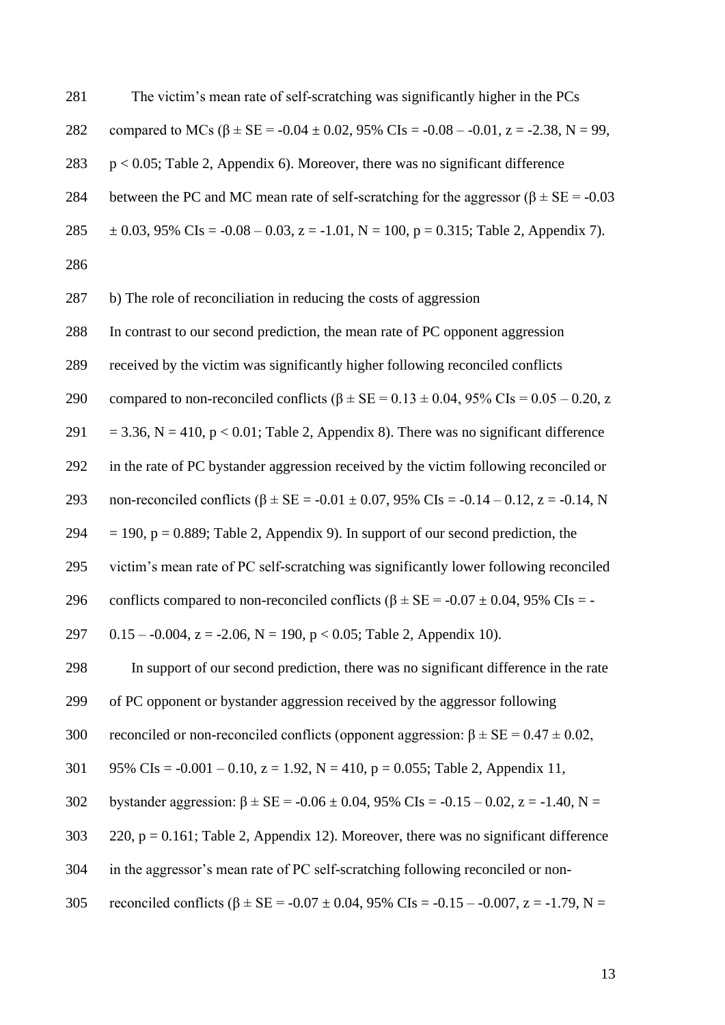| 281 | The victim's mean rate of self-scratching was significantly higher in the PCs                    |
|-----|--------------------------------------------------------------------------------------------------|
| 282 | compared to MCs ( $\beta \pm SE = -0.04 \pm 0.02$ , 95% CIs = -0.08 - -0.01, z = -2.38, N = 99,  |
| 283 | $p < 0.05$ ; Table 2, Appendix 6). Moreover, there was no significant difference                 |
| 284 | between the PC and MC mean rate of self-scratching for the aggressor ( $\beta \pm SE = -0.03$ )  |
| 285 | $\pm$ 0.03, 95% CIs = -0.08 – 0.03, z = -1.01, N = 100, p = 0.315; Table 2, Appendix 7).         |
| 286 |                                                                                                  |
| 287 | b) The role of reconciliation in reducing the costs of aggression                                |
| 288 | In contrast to our second prediction, the mean rate of PC opponent aggression                    |
| 289 | received by the victim was significantly higher following reconciled conflicts                   |
| 290 | compared to non-reconciled conflicts ( $\beta \pm SE = 0.13 \pm 0.04$ , 95% CIs = 0.05 – 0.20, z |
| 291 | $=$ 3.36, N = 410, p < 0.01; Table 2, Appendix 8). There was no significant difference           |
| 292 | in the rate of PC bystander aggression received by the victim following reconciled or            |
| 293 | non-reconciled conflicts ( $\beta$ ± SE = -0.01 ± 0.07, 95% CIs = -0.14 – 0.12, z = -0.14, N     |
| 294 | $= 190$ , $p = 0.889$ ; Table 2, Appendix 9). In support of our second prediction, the           |
| 295 | victim's mean rate of PC self-scratching was significantly lower following reconciled            |
| 296 | conflicts compared to non-reconciled conflicts ( $\beta \pm SE = -0.07 \pm 0.04$ , 95% CIs = -   |
| 297 | $0.15 - 0.004$ , $z = -2.06$ , $N = 190$ , $p < 0.05$ ; Table 2, Appendix 10).                   |
| 298 | In support of our second prediction, there was no significant difference in the rate             |
| 299 | of PC opponent or bystander aggression received by the aggressor following                       |
| 300 | reconciled or non-reconciled conflicts (opponent aggression: $\beta \pm SE = 0.47 \pm 0.02$ ,    |
| 301 | 95% CIs = $-0.001 - 0.10$ , $z = 1.92$ , N = 410, p = 0.055; Table 2, Appendix 11,               |
| 302 | bystander aggression: $\beta \pm SE = -0.06 \pm 0.04$ , 95% CIs = -0.15 - 0.02, z = -1.40, N =   |
| 303 | 220, $p = 0.161$ ; Table 2, Appendix 12). Moreover, there was no significant difference          |
| 304 | in the aggressor's mean rate of PC self-scratching following reconciled or non-                  |
|     |                                                                                                  |

305 reconciled conflicts  $(\beta \pm SE = -0.07 \pm 0.04, 95\% \text{ CIs} = -0.15 - -0.007, z = -1.79, N =$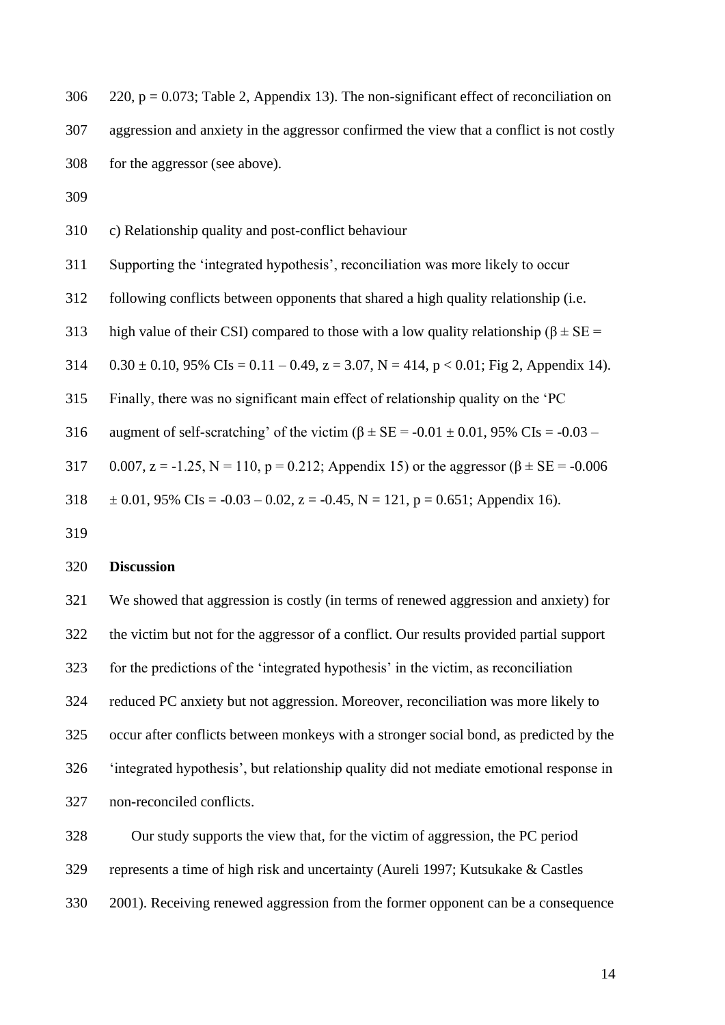| 306 | 220, $p = 0.073$ ; Table 2, Appendix 13). The non-significant effect of reconciliation on       |
|-----|-------------------------------------------------------------------------------------------------|
| 307 | aggression and anxiety in the aggressor confirmed the view that a conflict is not costly        |
| 308 | for the aggressor (see above).                                                                  |
| 309 |                                                                                                 |
| 310 | c) Relationship quality and post-conflict behaviour                                             |
| 311 | Supporting the 'integrated hypothesis', reconciliation was more likely to occur                 |
| 312 | following conflicts between opponents that shared a high quality relationship (i.e.             |
| 313 | high value of their CSI) compared to those with a low quality relationship ( $\beta \pm SE$ =   |
| 314 | $0.30 \pm 0.10$ , 95% CIs = 0.11 – 0.49, z = 3.07, N = 414, p < 0.01; Fig 2, Appendix 14).      |
| 315 | Finally, there was no significant main effect of relationship quality on the 'PC                |
| 316 | augment of self-scratching' of the victim ( $\beta \pm SE = -0.01 \pm 0.01$ , 95% CIs = -0.03 – |
| 317 | 0.007, z = -1.25, N = 110, p = 0.212; Appendix 15) or the aggressor ( $\beta$ ± SE = -0.006     |
| 318 | $\pm$ 0.01, 95% CIs = -0.03 – 0.02, z = -0.45, N = 121, p = 0.651; Appendix 16).                |
| 319 |                                                                                                 |
| 320 | <b>Discussion</b>                                                                               |

 We showed that aggression is costly (in terms of renewed aggression and anxiety) for the victim but not for the aggressor of a conflict. Our results provided partial support for the predictions of the 'integrated hypothesis' in the victim, as reconciliation reduced PC anxiety but not aggression. Moreover, reconciliation was more likely to occur after conflicts between monkeys with a stronger social bond, as predicted by the 'integrated hypothesis', but relationship quality did not mediate emotional response in non-reconciled conflicts.

 Our study supports the view that, for the victim of aggression, the PC period represents a time of high risk and uncertainty (Aureli 1997; Kutsukake & Castles 2001). Receiving renewed aggression from the former opponent can be a consequence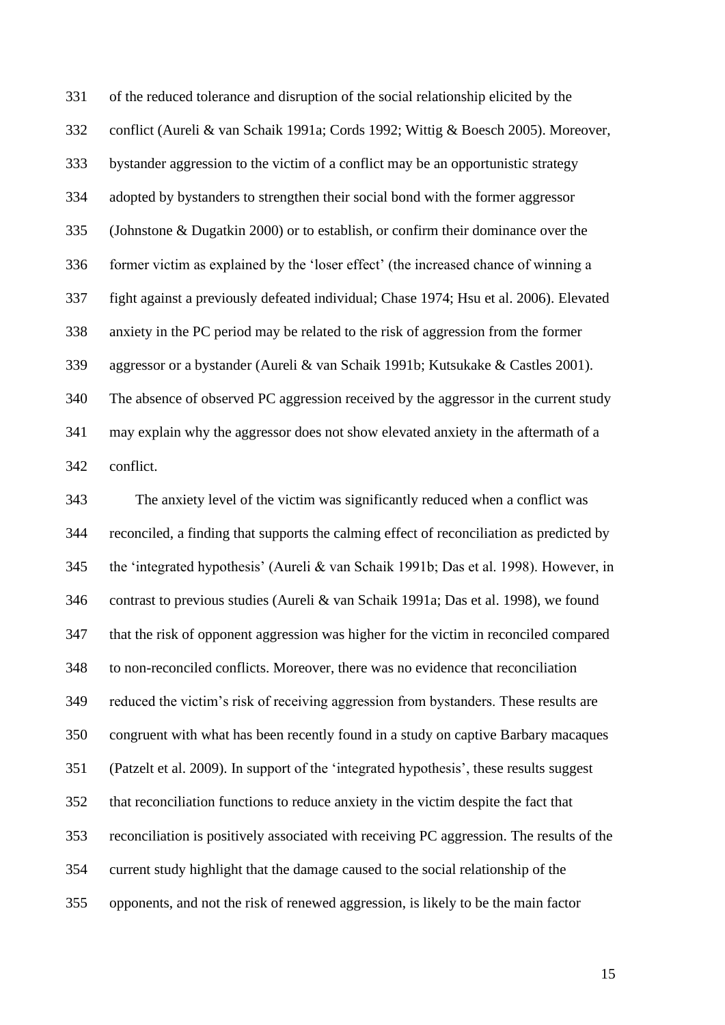of the reduced tolerance and disruption of the social relationship elicited by the conflict (Aureli & van Schaik 1991a; Cords 1992; Wittig & Boesch 2005). Moreover, bystander aggression to the victim of a conflict may be an opportunistic strategy adopted by bystanders to strengthen their social bond with the former aggressor (Johnstone & Dugatkin 2000) or to establish, or confirm their dominance over the former victim as explained by the 'loser effect' (the increased chance of winning a fight against a previously defeated individual; Chase 1974; Hsu et al. 2006). Elevated anxiety in the PC period may be related to the risk of aggression from the former aggressor or a bystander (Aureli & van Schaik 1991b; Kutsukake & Castles 2001). The absence of observed PC aggression received by the aggressor in the current study may explain why the aggressor does not show elevated anxiety in the aftermath of a conflict.

 The anxiety level of the victim was significantly reduced when a conflict was reconciled, a finding that supports the calming effect of reconciliation as predicted by the 'integrated hypothesis' (Aureli & van Schaik 1991b; Das et al. 1998). However, in contrast to previous studies (Aureli & van Schaik 1991a; Das et al. 1998), we found that the risk of opponent aggression was higher for the victim in reconciled compared to non-reconciled conflicts. Moreover, there was no evidence that reconciliation reduced the victim's risk of receiving aggression from bystanders. These results are congruent with what has been recently found in a study on captive Barbary macaques (Patzelt et al. 2009). In support of the 'integrated hypothesis', these results suggest that reconciliation functions to reduce anxiety in the victim despite the fact that reconciliation is positively associated with receiving PC aggression. The results of the current study highlight that the damage caused to the social relationship of the opponents, and not the risk of renewed aggression, is likely to be the main factor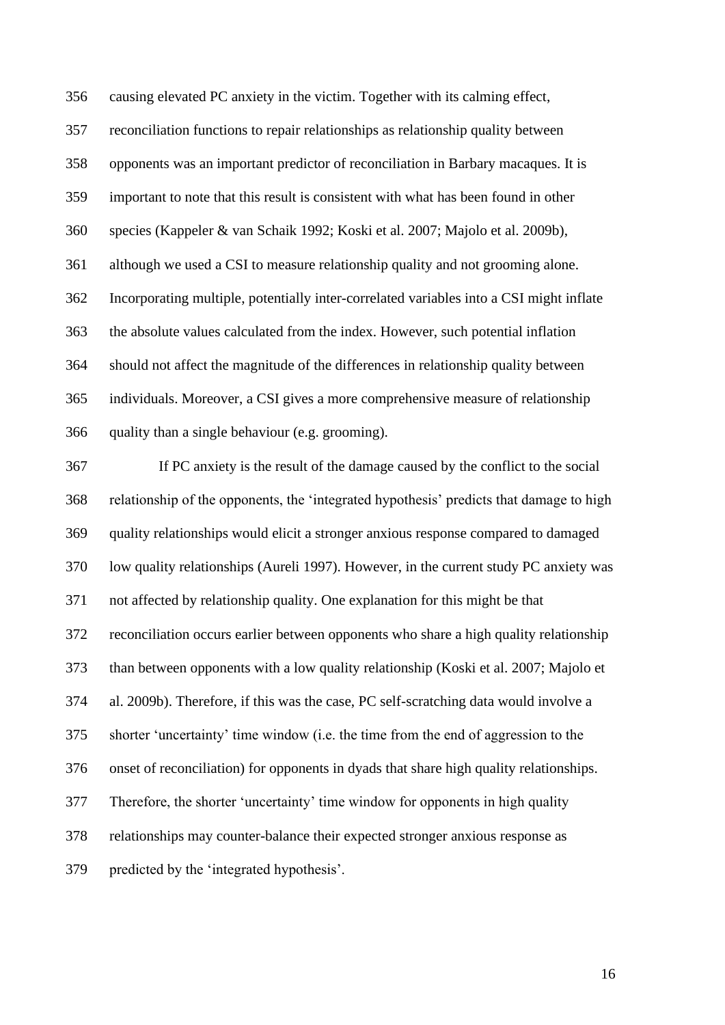causing elevated PC anxiety in the victim. Together with its calming effect, reconciliation functions to repair relationships as relationship quality between opponents was an important predictor of reconciliation in Barbary macaques. It is important to note that this result is consistent with what has been found in other species (Kappeler & van Schaik 1992; Koski et al. 2007; Majolo et al. 2009b), although we used a CSI to measure relationship quality and not grooming alone. Incorporating multiple, potentially inter-correlated variables into a CSI might inflate the absolute values calculated from the index. However, such potential inflation should not affect the magnitude of the differences in relationship quality between individuals. Moreover, a CSI gives a more comprehensive measure of relationship quality than a single behaviour (e.g. grooming).

 If PC anxiety is the result of the damage caused by the conflict to the social relationship of the opponents, the 'integrated hypothesis' predicts that damage to high quality relationships would elicit a stronger anxious response compared to damaged low quality relationships (Aureli 1997). However, in the current study PC anxiety was not affected by relationship quality. One explanation for this might be that reconciliation occurs earlier between opponents who share a high quality relationship than between opponents with a low quality relationship (Koski et al. 2007; Majolo et al. 2009b). Therefore, if this was the case, PC self-scratching data would involve a shorter 'uncertainty' time window (i.e. the time from the end of aggression to the onset of reconciliation) for opponents in dyads that share high quality relationships. Therefore, the shorter 'uncertainty' time window for opponents in high quality relationships may counter-balance their expected stronger anxious response as predicted by the 'integrated hypothesis'.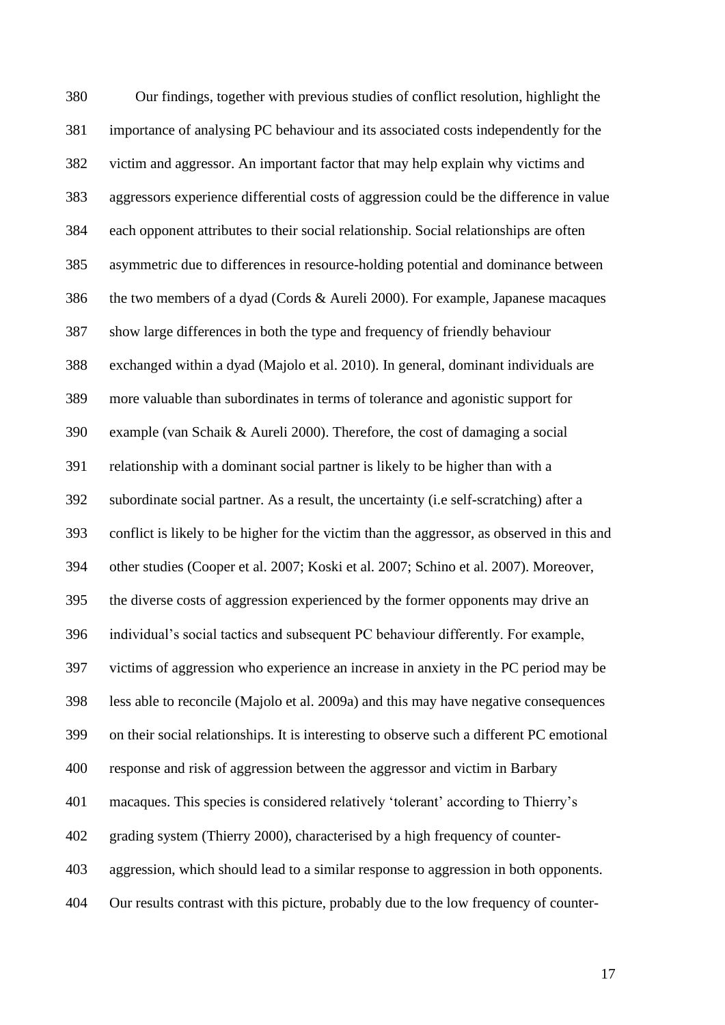Our findings, together with previous studies of conflict resolution, highlight the importance of analysing PC behaviour and its associated costs independently for the victim and aggressor. An important factor that may help explain why victims and aggressors experience differential costs of aggression could be the difference in value each opponent attributes to their social relationship. Social relationships are often asymmetric due to differences in resource-holding potential and dominance between the two members of a dyad (Cords & Aureli 2000). For example, Japanese macaques show large differences in both the type and frequency of friendly behaviour exchanged within a dyad (Majolo et al. 2010). In general, dominant individuals are more valuable than subordinates in terms of tolerance and agonistic support for example (van Schaik & Aureli 2000). Therefore, the cost of damaging a social relationship with a dominant social partner is likely to be higher than with a subordinate social partner. As a result, the uncertainty (i.e self-scratching) after a conflict is likely to be higher for the victim than the aggressor, as observed in this and other studies (Cooper et al. 2007; Koski et al. 2007; Schino et al. 2007). Moreover, the diverse costs of aggression experienced by the former opponents may drive an individual's social tactics and subsequent PC behaviour differently. For example, victims of aggression who experience an increase in anxiety in the PC period may be less able to reconcile (Majolo et al. 2009a) and this may have negative consequences on their social relationships. It is interesting to observe such a different PC emotional response and risk of aggression between the aggressor and victim in Barbary macaques. This species is considered relatively 'tolerant' according to Thierry's grading system (Thierry 2000), characterised by a high frequency of counter- aggression, which should lead to a similar response to aggression in both opponents. Our results contrast with this picture, probably due to the low frequency of counter-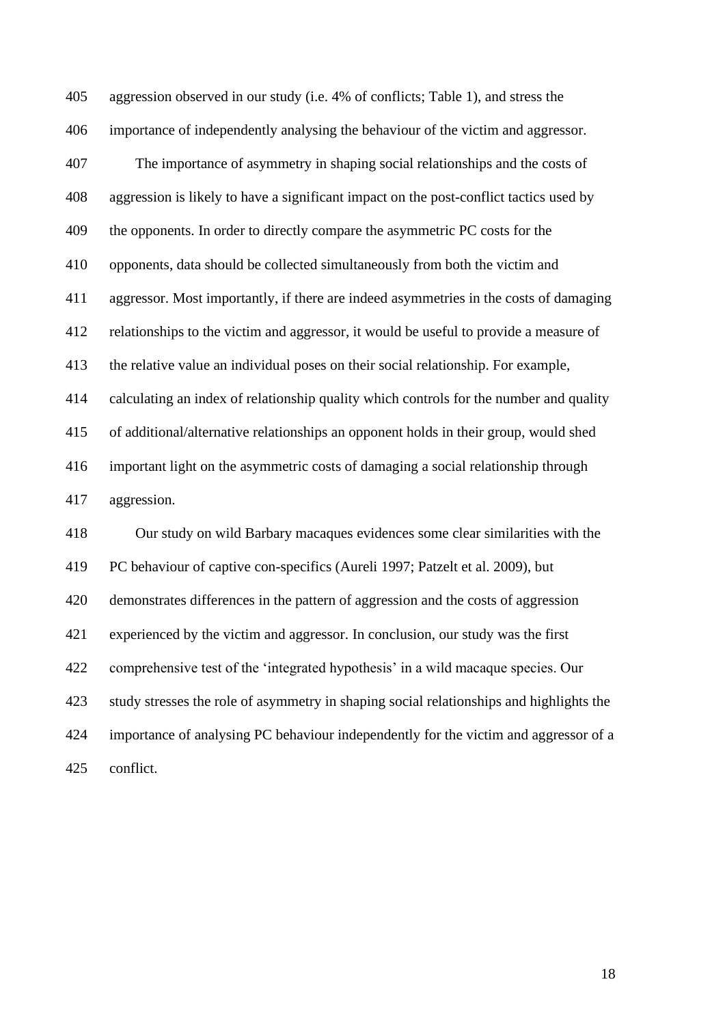aggression observed in our study (i.e. 4% of conflicts; Table 1), and stress the importance of independently analysing the behaviour of the victim and aggressor. The importance of asymmetry in shaping social relationships and the costs of aggression is likely to have a significant impact on the post-conflict tactics used by the opponents. In order to directly compare the asymmetric PC costs for the opponents, data should be collected simultaneously from both the victim and aggressor. Most importantly, if there are indeed asymmetries in the costs of damaging relationships to the victim and aggressor, it would be useful to provide a measure of the relative value an individual poses on their social relationship. For example, calculating an index of relationship quality which controls for the number and quality of additional/alternative relationships an opponent holds in their group, would shed important light on the asymmetric costs of damaging a social relationship through aggression. Our study on wild Barbary macaques evidences some clear similarities with the PC behaviour of captive con-specifics (Aureli 1997; Patzelt et al. 2009), but demonstrates differences in the pattern of aggression and the costs of aggression experienced by the victim and aggressor. In conclusion, our study was the first comprehensive test of the 'integrated hypothesis' in a wild macaque species. Our study stresses the role of asymmetry in shaping social relationships and highlights the importance of analysing PC behaviour independently for the victim and aggressor of a conflict.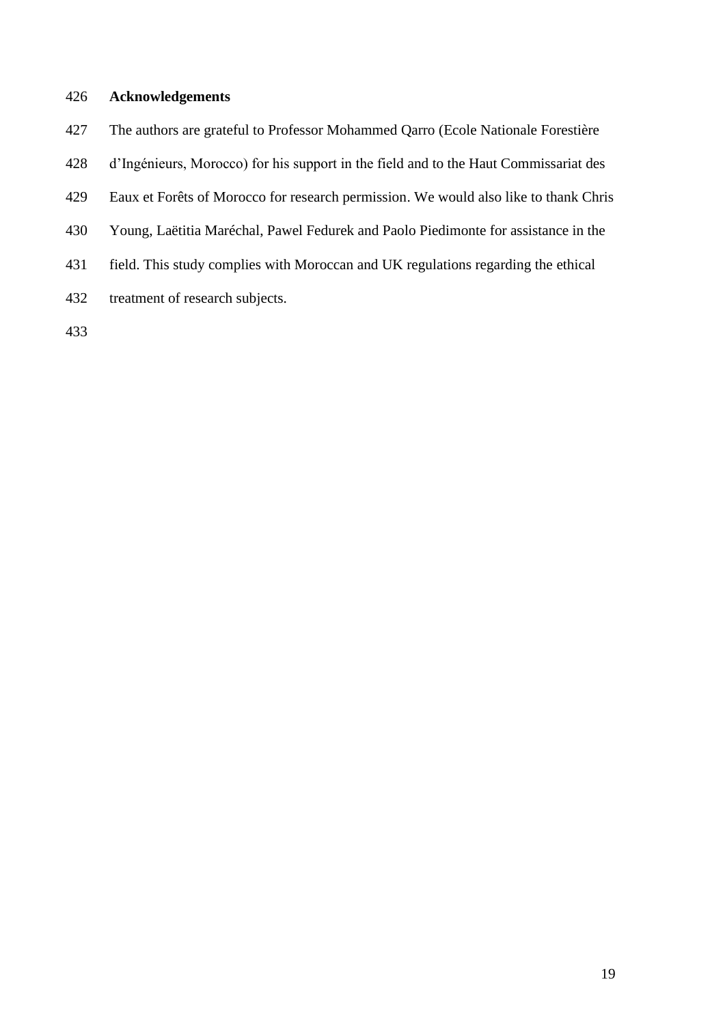# **Acknowledgements**

- The authors are grateful to Professor Mohammed Qarro (Ecole Nationale Forestière
- d'Ingénieurs, Morocco) for his support in the field and to the Haut Commissariat des
- Eaux et Forêts of Morocco for research permission. We would also like to thank Chris
- Young, Laëtitia Maréchal, Pawel Fedurek and Paolo Piedimonte for assistance in the
- field. This study complies with Moroccan and UK regulations regarding the ethical
- treatment of research subjects.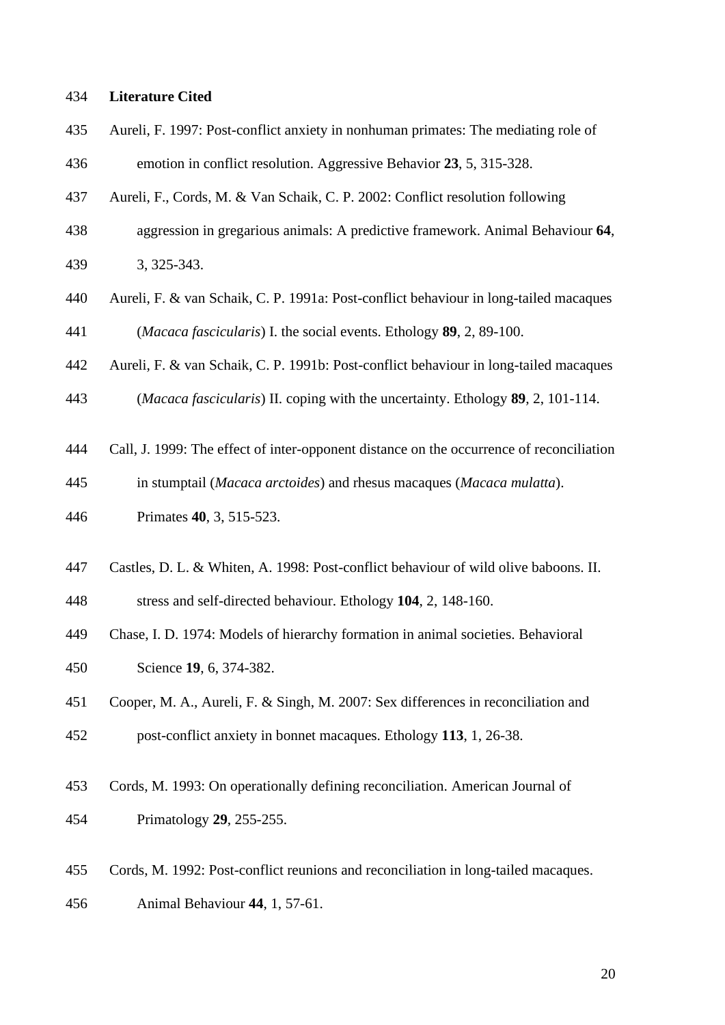## **Literature Cited**

- Aureli, F. 1997: Post-conflict anxiety in nonhuman primates: The mediating role of
- emotion in conflict resolution. Aggressive Behavior **23**, 5, 315-328.
- Aureli, F., Cords, M. & Van Schaik, C. P. 2002: Conflict resolution following
- aggression in gregarious animals: A predictive framework. Animal Behaviour **64**, 3, 325-343.
- Aureli, F. & van Schaik, C. P. 1991a: Post-conflict behaviour in long-tailed macaques (*Macaca fascicularis*) I. the social events. Ethology **89**, 2, 89-100.
- Aureli, F. & van Schaik, C. P. 1991b: Post-conflict behaviour in long-tailed macaques
- (*Macaca fascicularis*) II. coping with the uncertainty. Ethology **89**, 2, 101-114.
- Call, J. 1999: The effect of inter-opponent distance on the occurrence of reconciliation
- in stumptail (*Macaca arctoides*) and rhesus macaques (*Macaca mulatta*).
- Primates **40**, 3, 515-523.
- Castles, D. L. & Whiten, A. 1998: Post-conflict behaviour of wild olive baboons. II.

stress and self-directed behaviour. Ethology **104**, 2, 148-160.

- Chase, I. D. 1974: Models of hierarchy formation in animal societies. Behavioral Science **19**, 6, 374-382.
- Cooper, M. A., Aureli, F. & Singh, M. 2007: Sex differences in reconciliation and post-conflict anxiety in bonnet macaques. Ethology **113**, 1, 26-38.
- Cords, M. 1993: On operationally defining reconciliation. American Journal of Primatology **29**, 255-255.
- Cords, M. 1992: Post-conflict reunions and reconciliation in long-tailed macaques. Animal Behaviour **44**, 1, 57-61.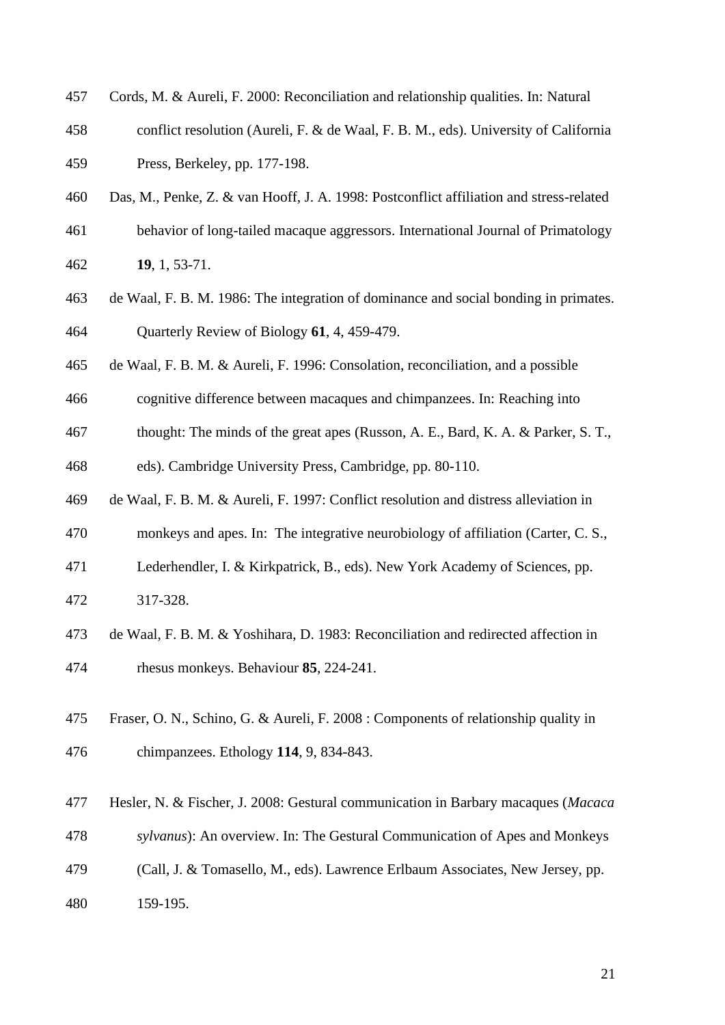- Cords, M. & Aureli, F. 2000: Reconciliation and relationship qualities. In: Natural
- conflict resolution (Aureli, F. & de Waal, F. B. M., eds). University of California Press, Berkeley, pp. 177-198.
- Das, M., Penke, Z. & van Hooff, J. A. 1998: Postconflict affiliation and stress-related
- behavior of long-tailed macaque aggressors. International Journal of Primatology
- **19**, 1, 53-71.
- de Waal, F. B. M. 1986: The integration of dominance and social bonding in primates. Quarterly Review of Biology **61**, 4, 459-479.
- de Waal, F. B. M. & Aureli, F. 1996: Consolation, reconciliation, and a possible
- cognitive difference between macaques and chimpanzees. In: Reaching into
- thought: The minds of the great apes (Russon, A. E., Bard, K. A. & Parker, S. T.,

eds). Cambridge University Press, Cambridge, pp. 80-110.

- de Waal, F. B. M. & Aureli, F. 1997: Conflict resolution and distress alleviation in
- monkeys and apes. In: The integrative neurobiology of affiliation (Carter, C. S.,
- Lederhendler, I. & Kirkpatrick, B., eds). New York Academy of Sciences, pp.
- 317-328.
- de Waal, F. B. M. & Yoshihara, D. 1983: Reconciliation and redirected affection in rhesus monkeys. Behaviour **85**, 224-241.
- Fraser, O. N., Schino, G. & Aureli, F. 2008 : Components of relationship quality in chimpanzees. Ethology **114**, 9, 834-843.
- Hesler, N. & Fischer, J. 2008: Gestural communication in Barbary macaques (*Macaca*
- *sylvanus*): An overview. In: The Gestural Communication of Apes and Monkeys
- (Call, J. & Tomasello, M., eds). Lawrence Erlbaum Associates, New Jersey, pp.
- 159-195.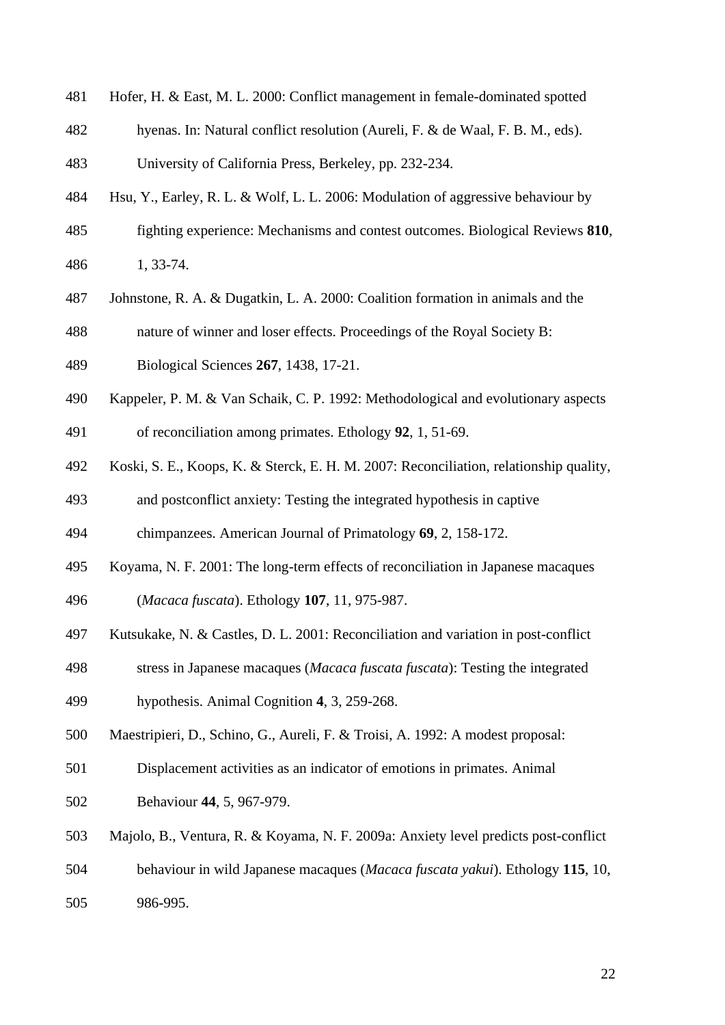- Hofer, H. & East, M. L. 2000: Conflict management in female-dominated spotted
- hyenas. In: Natural conflict resolution (Aureli, F. & de Waal, F. B. M., eds).
- University of California Press, Berkeley, pp. 232-234.
- Hsu, Y., Earley, R. L. & Wolf, L. L. 2006: Modulation of aggressive behaviour by
- fighting experience: Mechanisms and contest outcomes. Biological Reviews **810**, 1, 33-74.
- Johnstone, R. A. & Dugatkin, L. A. 2000: Coalition formation in animals and the
- nature of winner and loser effects. Proceedings of the Royal Society B:
- Biological Sciences **267**, 1438, 17-21.
- Kappeler, P. M. & Van Schaik, C. P. 1992: Methodological and evolutionary aspects of reconciliation among primates. Ethology **92**, 1, 51-69.
- Koski, S. E., Koops, K. & Sterck, E. H. M. 2007: Reconciliation, relationship quality,
- and postconflict anxiety: Testing the integrated hypothesis in captive
- chimpanzees. American Journal of Primatology **69**, 2, 158-172.
- Koyama, N. F. 2001: The long-term effects of reconciliation in Japanese macaques
- (*Macaca fuscata*). Ethology **107**, 11, 975-987.
- Kutsukake, N. & Castles, D. L. 2001: Reconciliation and variation in post-conflict
- stress in Japanese macaques (*Macaca fuscata fuscata*): Testing the integrated
- hypothesis. Animal Cognition **4**, 3, 259-268.
- Maestripieri, D., Schino, G., Aureli, F. & Troisi, A. 1992: A modest proposal:
- Displacement activities as an indicator of emotions in primates. Animal
- Behaviour **44**, 5, 967-979.
- Majolo, B., Ventura, R. & Koyama, N. F. 2009a: Anxiety level predicts post-conflict
- behaviour in wild Japanese macaques (*Macaca fuscata yakui*). Ethology **115**, 10,
- 986-995.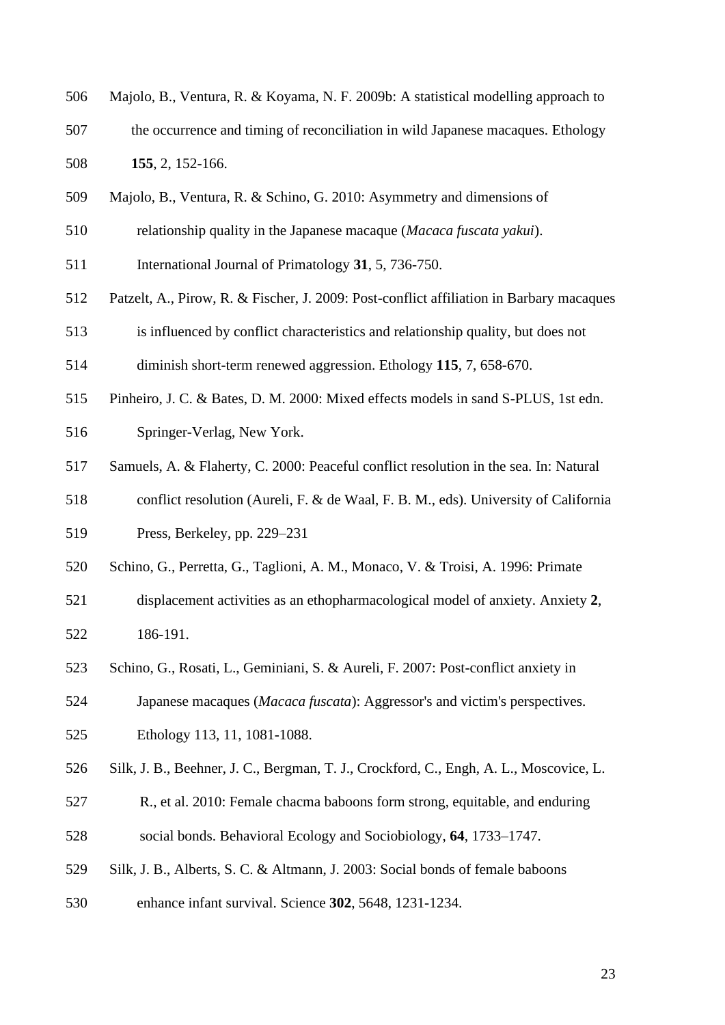- Majolo, B., Ventura, R. & Koyama, N. F. 2009b: A statistical modelling approach to
- the occurrence and timing of reconciliation in wild Japanese macaques. Ethology **155**, 2, 152-166.
- Majolo, B., Ventura, R. & Schino, G. 2010: Asymmetry and dimensions of
- relationship quality in the Japanese macaque (*Macaca fuscata yakui*).
- International Journal of Primatology **31**, 5, 736-750.
- Patzelt, A., Pirow, R. & Fischer, J. 2009: Post-conflict affiliation in Barbary macaques
- is influenced by conflict characteristics and relationship quality, but does not
- diminish short-term renewed aggression. Ethology **115**, 7, 658-670.
- Pinheiro, J. C. & Bates, D. M. 2000: Mixed effects models in sand S-PLUS, 1st edn.
- Springer-Verlag, New York.
- Samuels, A. & Flaherty, C. 2000: Peaceful conflict resolution in the sea. In: Natural
- conflict resolution (Aureli, F. & de Waal, F. B. M., eds). University of California
- Press, Berkeley, pp. 229–231
- Schino, G., Perretta, G., Taglioni, A. M., Monaco, V. & Troisi, A. 1996: Primate
- displacement activities as an ethopharmacological model of anxiety. Anxiety **2**, 186-191.
- Schino, G., Rosati, L., Geminiani, S. & Aureli, F. 2007: Post-conflict anxiety in
- Japanese macaques (*Macaca fuscata*): Aggressor's and victim's perspectives. Ethology 113, 11, 1081-1088.
- Silk, J. B., Beehner, J. C., Bergman, T. J., Crockford, C., Engh, A. L., Moscovice, L.
- R., et al. 2010: Female chacma baboons form strong, equitable, and enduring social bonds. Behavioral Ecology and Sociobiology, **64**, 1733–1747.
- Silk, J. B., Alberts, S. C. & Altmann, J. 2003: Social bonds of female baboons
- enhance infant survival. Science **302**, 5648, 1231-1234.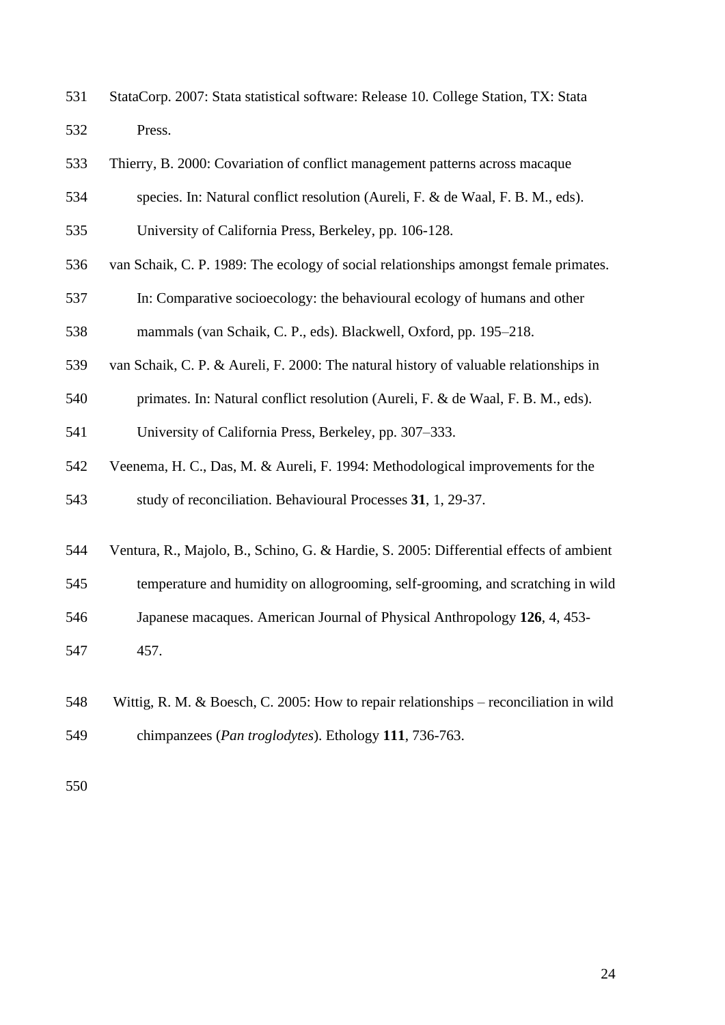StataCorp. 2007: Stata statistical software: Release 10. College Station, TX: Stata Press.

| <b>Example 2000: Covariation of conflict management patterns across macaquer</b> |  |  |
|----------------------------------------------------------------------------------|--|--|
|                                                                                  |  |  |

- species. In: Natural conflict resolution (Aureli, F. & de Waal, F. B. M., eds).
- University of California Press, Berkeley, pp. 106-128.
- van Schaik, C. P. 1989: The ecology of social relationships amongst female primates.
- In: Comparative socioecology: the behavioural ecology of humans and other
- mammals (van Schaik, C. P., eds). Blackwell, Oxford, pp. 195–218.
- van Schaik, C. P. & Aureli, F. 2000: The natural history of valuable relationships in
- primates. In: Natural conflict resolution (Aureli, F. & de Waal, F. B. M., eds).
- University of California Press, Berkeley, pp. 307–333.
- Veenema, H. C., Das, M. & Aureli, F. 1994: Methodological improvements for the
- study of reconciliation. Behavioural Processes **31**, 1, 29-37.
- Ventura, R., Majolo, B., Schino, G. & Hardie, S. 2005: Differential effects of ambient
- temperature and humidity on allogrooming, self-grooming, and scratching in wild
- Japanese macaques. American Journal of Physical Anthropology **126**, 4, 453-
- 457.
- Wittig, R. M. & Boesch, C. 2005: How to repair relationships reconciliation in wild chimpanzees (*Pan troglodytes*). Ethology **111**, 736-763.
-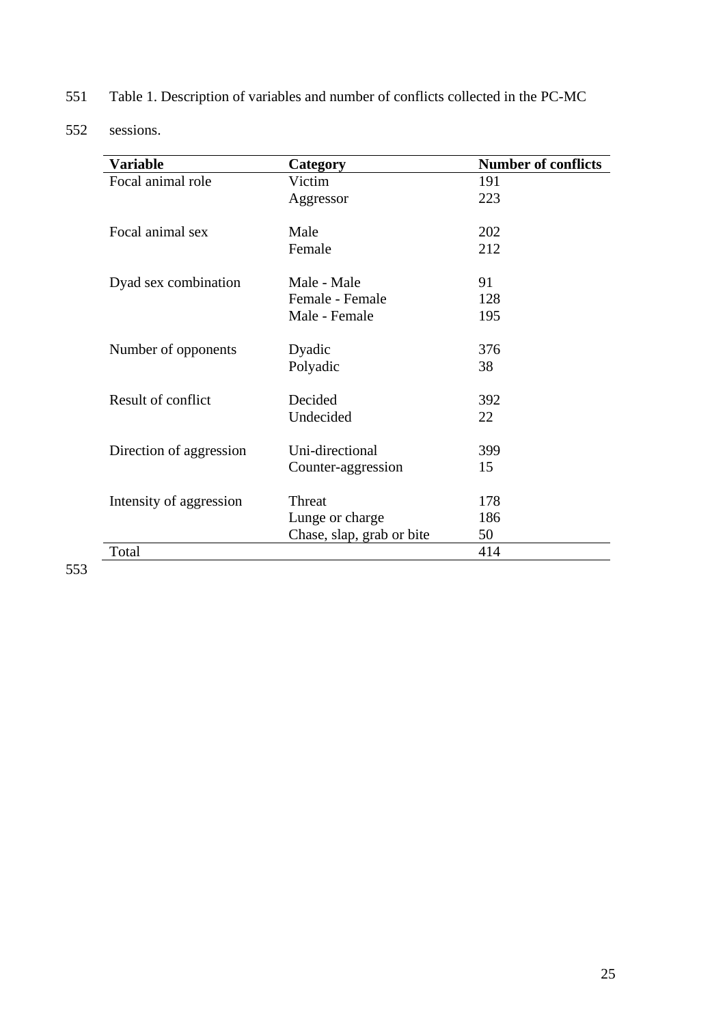- 551 Table 1. Description of variables and number of conflicts collected in the PC-MC
- 552 sessions.

| Category  | <b>Number of conflicts</b>                                                                                                                                               |
|-----------|--------------------------------------------------------------------------------------------------------------------------------------------------------------------------|
| Victim    | 191                                                                                                                                                                      |
| Aggressor | 223                                                                                                                                                                      |
|           |                                                                                                                                                                          |
| Male      | 202                                                                                                                                                                      |
| Female    | 212                                                                                                                                                                      |
|           |                                                                                                                                                                          |
|           | 91                                                                                                                                                                       |
|           | 128                                                                                                                                                                      |
|           | 195                                                                                                                                                                      |
|           | 376                                                                                                                                                                      |
|           | 38                                                                                                                                                                       |
|           |                                                                                                                                                                          |
| Decided   | 392                                                                                                                                                                      |
| Undecided | 22                                                                                                                                                                       |
|           |                                                                                                                                                                          |
|           | 399                                                                                                                                                                      |
|           | 15                                                                                                                                                                       |
|           | 178                                                                                                                                                                      |
|           | 186                                                                                                                                                                      |
|           | 50                                                                                                                                                                       |
|           | 414                                                                                                                                                                      |
|           | Male - Male<br>Female - Female<br>Male - Female<br>Dyadic<br>Polyadic<br>Uni-directional<br>Counter-aggression<br>Threat<br>Lunge or charge<br>Chase, slap, grab or bite |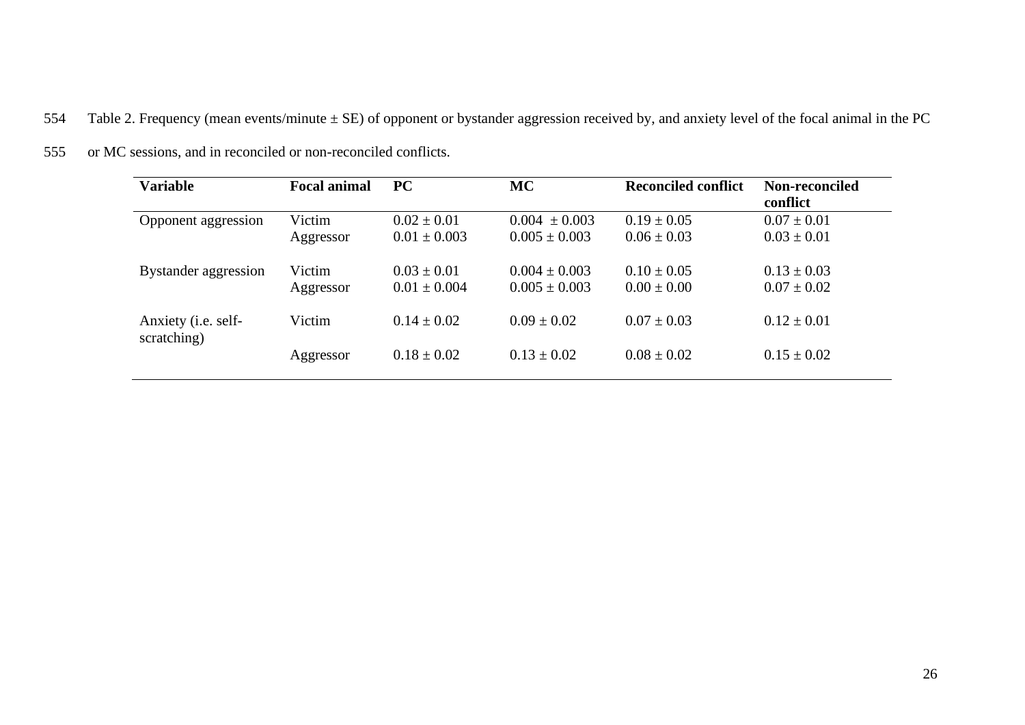554 Table 2. Frequency (mean events/minute ± SE) of opponent or bystander aggression received by, and anxiety level of the focal animal in the PC

| <b>Variable</b>                            | <b>Focal animal</b> | <b>PC</b>                           | <b>MC</b>                              | <b>Reconciled conflict</b>         | Non-reconciled<br>conflict         |
|--------------------------------------------|---------------------|-------------------------------------|----------------------------------------|------------------------------------|------------------------------------|
| Opponent aggression                        | Victim<br>Aggressor | $0.02 \pm 0.01$<br>$0.01 \pm 0.003$ | $0.004 \pm 0.003$<br>$0.005 \pm 0.003$ | $0.19 \pm 0.05$<br>$0.06 \pm 0.03$ | $0.07 \pm 0.01$<br>$0.03 \pm 0.01$ |
| Bystander aggression                       | Victim<br>Aggressor | $0.03 \pm 0.01$<br>$0.01 \pm 0.004$ | $0.004 \pm 0.003$<br>$0.005 \pm 0.003$ | $0.10 \pm 0.05$<br>$0.00 \pm 0.00$ | $0.13 \pm 0.03$<br>$0.07 \pm 0.02$ |
| Anxiety ( <i>i.e.</i> self-<br>scratching) | Victim              | $0.14 \pm 0.02$                     | $0.09 \pm 0.02$                        | $0.07 \pm 0.03$                    | $0.12 \pm 0.01$                    |
|                                            | Aggressor           | $0.18 \pm 0.02$                     | $0.13 \pm 0.02$                        | $0.08 \pm 0.02$                    | $0.15 \pm 0.02$                    |

555 or MC sessions, and in reconciled or non-reconciled conflicts.